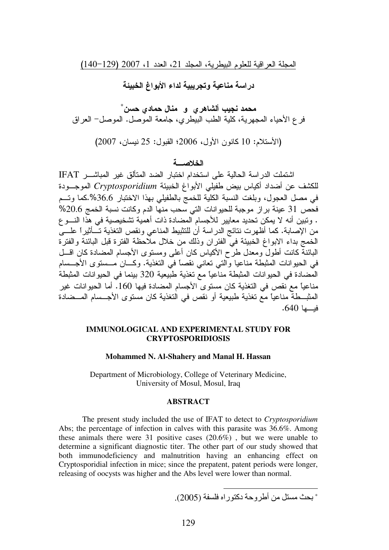المجلة العراقية للعلوم البيطرية، المجلد 21، العدد 1، 2007 (129-140)

در اسة مناعية وتجريبية لداء الأبواغ الخبيئة

محمد نجيب ألشاهر ي و منال حمادي حسن ٌ فر ع الأحياء المجهرية، كلية الطب البيطري، جامعة الموصل. الموصل– العراق

(الأستلام: 10 كانون الأول، 2006؛ القبول: 25 نيسان، 2007)

# الخلاصسة

اشتملت الدر اسة الحالية على استخدام اختبار الضد المتألق غير المباشـــر IFAT للكشف عن أضداد أكياس بيض طفيلي الأبواغ الخبيئة *Cryptosporidium* الموجــودة في مصل العجول، وبلغت النسبة الكلية للخمج بالطفيلي بهذا الاختبار 36.6%.كما وتـــم فحص 31 عينة براز موجبة للحيوانات التي سحب منها الدم وكانت نسبة الخمج 20.6% . وتبين أنه لا يمكن تحديد معايير للأجسام المضادة ذات أهمية تشخيصية في هذا النــــو ع من الإصابة. كما أظهرت نتائج الدراسة أن للتثبيط المناعي ونقص التغذية تـــأثيراً علــــى الخمج بداء الابواغ الخبيئة في الفئران وذلك من خلال ملاحظة الفترة قبل البائنة والفترة البائنة كانت أطول ومعدل طرح الأكياس كان أعلى ومستوى الأجسام المضىادة كان اقسل في الحيوانات المثبطة مناعيا والتي تعاني نقصاً في التغذية. وكـــان مـــستوى الأجـــسام المضـادة في الحيوانات المثبطة مناعياً مع تغذية طبيعية 320 بينما في الحيوانات المثبطة مناعياً مع نقص في التغذية كان مستوى الأجسام المضادة فيها 160. أما الحيوانات غير المثبـــطة مناعيًا مـع تغذية طبيعية أو نقص في التغذية كان مستوى الأجـــسام المـــضـادة فيــــها 640.

### **IMMUNOLOGICAL AND EXPERIMENTAL STUDY FOR CRYPTOSPORIDIOSIS**

#### **Mohammed N. Al-Shahery and Manal H. Hassan**

Department of Microbiology, College of Veterinary Medicine, University of Mosul, Mosul, Iraq

#### **ABSTRACT**

The present study included the use of IFAT to detect to *Cryptosporidium* Abs; the percentage of infection in calves with this parasite was 36.6%. Among these animals there were 31 positive cases (20.6%) , but we were unable to determine a significant diagnostic titer. The other part of our study showed that both immunodeficiency and malnutrition having an enhancing effect on Cryptosporidial infection in mice; since the prepatent, patent periods were longer, releasing of oocysts was higher and the Abs level were lower than normal.

 $\overline{a}$ ∗ أو دآ
را (2005) .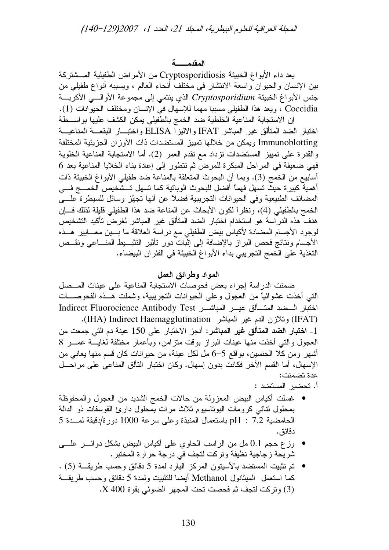المقدمــــــــة

يعد داء الأبواغ الخبيئة Cryptosporidiosis من الأمراض الطفيلية المـــشتركة بين الإنسان والحيوان واسعة الانتشار في مختلف أنحاء العالم ، ويسببه أنواع طفيلي من جنس الأبواغ الخبيئة Cryptosporidium الذي ينتمي إلى مجموعة الأوالهي الأكريسة Coccidia ، ويعد هذا الطفيلي مسببا مهما للإسهال في الإنسان ومختلف الحيوانات (1). إن الاستجابة المناعية الخلطية ضد الخمج بالطُّفيلي يمكن الكشف عليها بواســـطة

اختبار الضد المتألق غير المباشر IFAT والاليزا ELISA واختبـــار البقعــــة المناعيـــة Immunoblotting ويمكن من خلالها تمييز المستضدات ذات الأوزان الجزيئية المختلفة والقدرة على تمييز المستضدات نزداد مع نقدم العمر (2). أما الاستجابة المناعية الخلوية فهي ضعيفة في المراحل المبكرة للمرض ثم تتطور إلى إعادة بناء الخلايا المناعية بعد 6 أسابيع من الخمج (3). وبما أن البحوث المتعلقة بالمناعة ضد طفيلي الأبواغ الخبيئة ذات أهمية كبيرة حيثٌ نسهل فهما أفضل للبحوث الوبائية كما نسهل تستَّخيص الخمسج فسي المضائف الطبيعية وفي الحيوانات النجريبية فضلاً عن أنها نجهّز وسائل للسيطرة علسي الخمج بالطفيلي (4)، ونظراً لكون الأبحاث عن المناعة ضد هذا الطفيلي قليلة لذلك فسإن هدف هذه الدراسة هو استخدام اختبار الضد المتألق غير المباشر لغرض تأكيد التشخيص لوجود الأجسام المضادة لأكياس بيض الطفيلي مع در اسة العلاقة ما بسين معسايير هسذه الأجسام ونتائج فحص البراز بالإضافة إلى إنْبات دور تأثير التثبـــبط المنــــاعي ونقـــص التغذية على الخمج التجريبي بداء الأبواغ الخبيئة في الفئران البيضاء.

## المواد وطرائق العمل

ضمنت الدراسة إجراء بعض فحوصات الاستجابة المناعية على عينات المــصل التي أخذت عشوائياً من العجول وعلى الحيوانات التجريبية، وشملت هــذه الفحوصـــات اختبار السضد المتسألق غيسر المباشسر Indirect Fluorocience Antibody Test (IFAT) وتلازن الدم غير المباشر (IHA) Indirect Haemagglutination). 1\_ ا**ختبار الضد المتألق غير المباشر:** أنجز الاختبار على 150 عينة دم التي جمعت من العجول والتبي أخذت منها عينات البراز بوقت متزامن، وبأعمار مختلفة لغايسة عمسر 8 أشهر ومن كلا الجنسين، بواقع 5–6 مل لكل عينة، من حيوانات كان قسم منها يعاني من الإسهال، أما القسم الأخر فكانت بدون إسهال. وكان اختبار النألق المناعي على مراحـــل عدة تضمنت:

أ. تحضير المستضد :

- غسلت أكياس البيض المعزولة من حالات الخمج الشديد من العجول والمحفوظة بمحلول نتائبي كرومات البوناسيوم ثلاث مرات بمحلول دارئ الفوسفات ذو الدالة الحامضية 7.2 : pH باستعمال المنبذة وعلى سرعة 1000 دورة/دقيقة لمسدة 5 دقائق .
- وزع حجم 0.1 مل من الراسب الحاوي على أكباس البيض بشكل دوائـــر علــــى شريِّحة زيِّجاجية نظيفة وتركت لتجف في درجة حرارة المختبر .
- تم تثبيت المستضد بالأسينون المركز البارد لمدة 5 دقائق وحسب طريقـــة (5) . كما استعمل المبثانول Methanol أيضا للنثبيت ولمدة 5 دقائق وحسب طريقة (3) وتركت لتجف ثم فحصت تحت المجهر الضوئي بقوة X 400.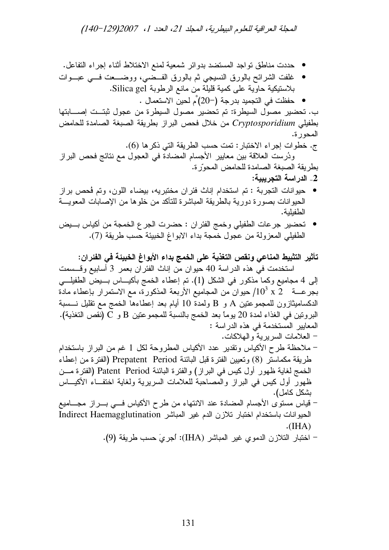المجلة العراقية للعلوم البيطرية، المجلد 21، العدد 1، 2007(129–140)

- حددت مناطق نواجد المستضد بدوائر شمعية لمنع الاختلاط أثناء إجراء التفاعل.
- غلفت الشرائح بالورق النسيجي ثم بالورق الفــضـي، ووضـــعت فـــي عبـــوات بلاستيكية حاوية على كمية قليلة من مانع الرطوبة Silica gel.
	- \_حفظت في التجميد بدرجة (−20) ٌم لحين الاستعمال .

ب. تحضير مصول السيطرة: تم تحضير مصول السيطرة من عجول ثبتــت إصــــابتها بطفيلي Cryptosporidium من خلال فحص البراز بطريقة الصبغة الصامدة للحامض المحور ة.

ج. خطوات إجراء الاختبار : تمت حسب الطريقة التي ذكر ها (6).

ودُرست العلاقة بين معايير الأجسام المضادة في العجول مع نتائج فحص البراز بطريقة الصبغة الصامدة للحامض المحورة.

- 2\_ الدر اسة التجريبية:
- حيوانات التجربة : تم استخدام إناث فئران مختبريه، بيضاء اللون، وتم فُحص براز الحيوانات بصورة دورية بالطريقة المباشرة للتأكد من خلوها من الإصابات المعويـــة الطفيلية.
- تحضير جرعات الطفيلي وخمج الفئر ان : حضرت الجر ع الخمجة من أكياس بــــيض الطفيلي المعزولة من عجول خمجة بداء الابواغ الخبيئة حسب طريقة (7).

تأثير التثبيط المناعي ونقص التغذية على الخمج بداء الأبواغ الخبيئة في الفئران:

استخدمت في هذه الدراسة 40 حيوان من إناث الفئران بعمر 3 أسابيع وقـــسمت إلى 4 مجاميع وكما مذكور في الشكل (1). تم إعطاء الخمج بأكيـــاس بـــيض الطفيلـــي بجرعــــة 2 x 10 $^{3}$  حيوان من المجاميع الأربعة المذكورة، مع الاستمرار بإعطاء مادة الدكساميثازون للمجموعتين A و B ولمدة 10 أيام بعد إعطاءها الخمج مع تقليل نـــسبة البرونين في الغذاء لمدة 20 يوماً بعد الخمج بالنسبة للمجموعتين B و C (نقص التغذية). المعايير المستخدمة في هذه الدراسة :

- العلامات السريرية والهلاكات.
- ملاحظة طرح الأكياس وتقدير عدد الأكياس المطروحة لكل 1 غم من البر از باستخدام طريقة مكماستر (8) وتعيين الفترة قبل البائنة Prepatent Period (الفترة من إعطاء الخمج لغاية ظهور أول كيس في البراز) والفترة البائنة Patent Period (الفترة مـــن ظهور أول كيس في البراز والمصاحبة للعلامات السريرية ولغاية اختف|ء الأكيـــاس بشكل كامل).
- قياس مستوى الأجسام المضادة عند الانتهاء من طرح الأكياس فـــي بـــراز مجــــاميع الحيوانات باستخدام اختبار تلازن الدم غير المباشر Indirect Haemagglutination  $\cdot$ (IHA)
	- اختبار التلازن الدموي غير المباشر (IHA): اجريّ حسب طريقة (9).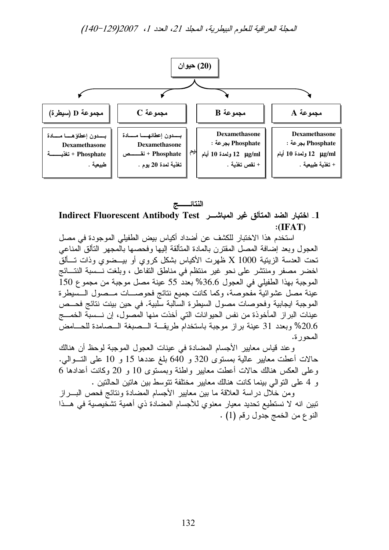

النتائــــــج 1\_ اختبار الضد المتألق غير المباشــر Indirect Fluorescent Antibody Test  $: (IFAT)$ 

استخدم هذا الاختبار للكشف عن أضداد أكياس بيض الطفيلي الموجودة في مصل العجول وبعد إضافة المصل المقترن بالمادة المتألقة إليها وفحصها بالمجهر التألق المناعي تحت العدسة الزيتية 1000 X ظهرت الأكياس بشكل كروي أو بيــضوي وذات تــألق اخضر مصفر ومنتشر على نحو غير منتظم في مناطق النفاعل ، وبلغت نــسبة النتـــائج الموجبة بهذا الطفيلي في العجول 36.6% بعدد 55 عينة مصل موجبة من مجموع 150 عينة مصل عشوائيةٌ مفـُحوصـة، وكما كانت جميع نتائج فحوصــــات مـــصول الـــسيطرة الموجبة ايجابية وفحوصات مصول السيطرة السالبة سلبية. في حين بينت نتائج فحــص عينات البر از المأخوذة من نفس الحيوانات التي أخذت منها المصول، إن نـــسبة الخمــــج 20.6% وبعدد 31 عينة براز موجبة باستخدام طريقة السصبغة السصامدة للحسامض المحور ة.

وعند قياس معايير الأجسام المضادة في عينات العجول الموجبة لوحظ أن هنالك حالات أعطت معايير عالية بمستوى 320 و 640 بلغ عددها 15 و 10 على التسوالي. وعلى العكس هنالك حالات أعطت معايير واطئة وبمستوى 10 و 20 وكانت أعدادها 6 و 4 على التوالي بينما كانت هنالك معايير مختلفة تتوسط بين هاتين الحالتين .

ومن خلَّال دراسة العلاقة ما بين معايير الأجسام المضادة ونتائج فحص البــــراز تبين انه لا نستطيع تحديد معيار معنوى للأجسام المضادة ذي أهمية تشخيصية في هــذا النوع من الخمج جدول رقم (1) .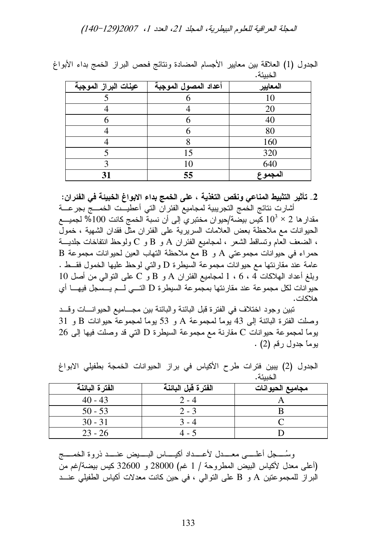المجلة العراقية للعلوم البيطرية، المجلد 21، العدد 1، 2007(129-140)

|                      |                      | $\overline{\phantom{a}}$ |
|----------------------|----------------------|--------------------------|
| عينات البراز الموجبة | أعداد المصول الموجبة | المعايير                 |
|                      |                      | 10                       |
|                      |                      | 20                       |
|                      |                      | 40                       |
|                      |                      | 80                       |
|                      |                      | 160                      |
|                      | 15                   | 320                      |
|                      | 10                   | 640                      |
| 31                   | 55                   | المجموع                  |

الْجَدُولُ (1) العلاقة بين معايير الأجسام المضادة ونتائج فحص البراز الخمج بداء الأبواغ لأخدردئ

2\_ تأثير التثبيط المناعي ونقص التغذية ، على الخمج بداء الابواغ الخبيئة في الفئران: أشارت نتائج الخمج التجريبية لمجاميع الفئر ان التي أعطيــت الخمـــج بجر عـــة مقدار ها 2 $\times 10^3 \times 10$  كيس بيضة/حيو ان مختبر ي إلى أن نسبة الخمج كانت 100% لجميــــع الحيوانات مع ملاحظة بعض العلامات السريرية على الفئران مثل فقدان الشهية ، خمول ، الضعف العام ونساقط الشعر ، لمجاميع الفئر ان A و B و C ولوحظ انتفاخات جلديــــة B حمراء في حيوانات مجموعتي A و B مع ملاحظة التهاب العين لحيوانات مجموعة عامة عند مقارنتها مع حيوانات مجموعة السيطرة D والتي لوحظ عليها الخمول فقسط .  $10$  وبلغ أعداد الهلاكات 4 ، 6 ، 1 لمجاميع الفئر ان A و B و C على النوالي من أصل 10 حيوانات لكل مجموعة عند مقارنتها بمجموعة السيطرة D التسي لـم يــسجل فيهــا أي هلاكات.

تبين وجود اختلاف في الفترة قبل البائنة والبائنة بين مجـــاميع الحيوانـــات وقـــد وصلت الفترة البائنة إلى 43 يوماً لمجموعة A و 53 يوماً لمجموعة حيوانات B و 31 بوماً لمجموعة حيوانات C مقارنة مع مجموعة السيطرة D التي قد وصلت فيها إلى 26 يوماً جدول رقم (2) .

الفترة البائنة الفترة قبل البائنة مجاميع الحيوانات  $40 - 43$  $2 - 4$ A  $50 - 53$ B  $2 - 3$  $\overline{C}$  $30 - 31$  $3 - 4$  $23 - 26$  $4 - 5$ D

الجدول (2) يبين فترات طرح الأكياس في براز الحيوانات الخمجة بطفيلي الابواغ الخبيئة.

وسُـــــجل أعلــــــي معـــــدل لأعـــــداد أكيــــــاس البــــــيض عنـــــد ذروة الخمـــــج (أعلى معدل لأكباس البيض المطروحة / 1 غم) 28000 و 32600 كيس بيضة/غم من البراز للمجموعتين A و B على التوالي ، في حين كانت معدلات أكياس الطفيلي عنــد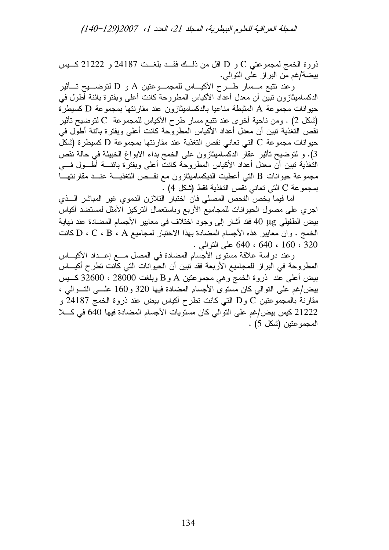المجلة العراقية للعلوم البيطرية، المجلد 21، العدد 1، 2007(129-140)

ذروة الخمج لمجموعتي C و D اقل من ذلـــك فقـــد بلغـــت 24187 و 21222 كــــيس بيضة/غم من البراز على التوالي.

وعند نتبع مـــسار طــــرح الأكيــــاس للمجمــــوعتين A و D لنوضــــيح تــــأثير الدكساميثازون ننبين أن معدل أعداد الأكياس المطروحة كانت أعلمي وبفترة بائنة أطول في حيوانات مجموعة A المثبطة مناعيا بالدكساميثازون عند مقارنتها بمجموعة D كسيطرة (شكل 2) . ومن ناحية أخرى عند نتبع مسار طرح الأكياس للمجموعة C لتوضيح تأثير) نقص النغذية نبين أن معدل أعداد الأكياس المطروحة كانت أعلى وبفترة بائنة أطول في حيوانات مجموعة C التي تعاني نقص التغذية عند مقارنتها بمجموعة D كسيطرة (شكل 3). و لتوضيح تأثير عقار الدكساميثازون على الخمج بداء الابواغ الخبيئة في حالة نقص النغذية نبين أن معدل أعداد الأكياس المطروحة كانت أعلى وبفترة بائنــــة أطــــول فــــي مجموعة حيوانات B التبي أعطيت الديكساميثازون مع نقــص التغذيـــة عنـــد مقارنتهـــا بمجموعة C التي تعاني نقص التغذية فقط (شكل 4) .

أما فيما يخص الفحص المصلى فان اختبار التلازن الدموي غير المباشر السذي اجري على مصول الحيوانات للمجاميع الأربع وباستعمال النركيز الأمثل لمستضد أكياس بيض الطفيلي 40 µg فقد أشار إلى وجود اختلاف في معايير الأجسام المضادة عند نهاية الخمج . وان معايير هذه الأجسام المضادة بهذا الاختبار لمجاميع D ، C ، B ، A كانت 320 ، 160 ، 640 ، 640 على النوالي .

وعند دراسة علاقة مستوى الأجسام المضادة في المصل مــع إعــداد الأكيـــاس المطروحة في البراز للمجاميع الأربعة فقد تبين أن الحيوانات التي كانت تطرح أكيـــاس بيض أعلى عند ذروة الخمج وهي مجموعتين A و B وبلغت 28000 ، 32600 كـــيس بيض/غم على النوالي كان مستوى الأجسام المضادة فيها 320 و160 علـــي النسوالي ، مقارنة بالمجموعتين DوD التبي كانت نطرح أكياس بيض عند ذروة الخمج 24187 و 21222 كيس بيض/غم على التوالي كان مستويات الأجسام المضادة فيها 640 في كل المجموعتين (شكل 5) .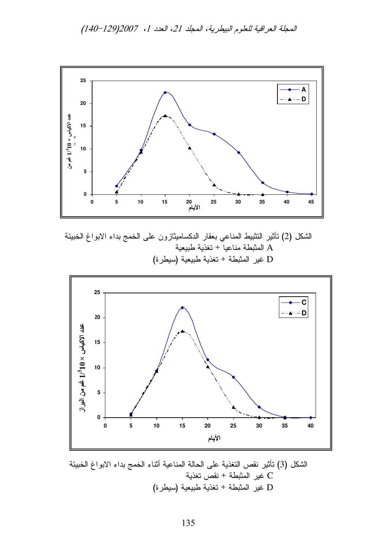المجلة العراقية للعلوم البيطرية، المجلد 21، العدد 1، 2007(129-140)



الشكل (2) نَأْثير النُّثبيط المناعي بعقار الدكساميثازون على الخمج بداء الابواغ الخبيئة المثبطة مناعياً + تغذية طبيعية  $\rm A$ D غير المثبطة + تغذية طبيعية (سيطرة)



الشكل (3) نأثير نقص التغذية على الحالة المناعية أنثاء الخمج بداء الابواغ الخبيئة C غير المثبطة + نقص تغذية D غير المثبطة + تغذية طبيعية (سيطرة)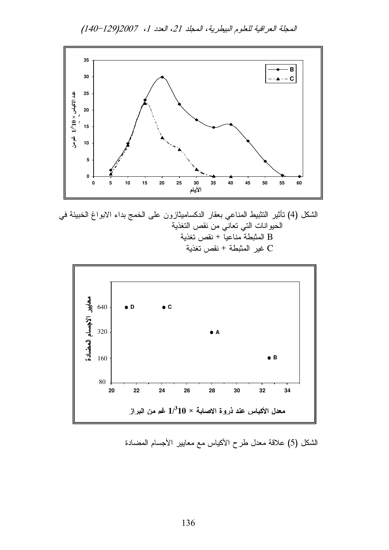المجلة العراقية للعلوم البيطرية، المجلد 21، العدد 1، 2007(129-140)



الشكل (4) نَأْثير التثبيط المناعي بعقار الدكساميثازون على الخمج بداء الابواغ الخبيئة في الحيوانات التي تعاني من نقص التغذية المثبطة مناعيا + نقص تغذية B غبر المثبطة + نقص تغذية



الشكل (5) علاقة معدل طرح الأكياس مع معايير الأجسام المضادة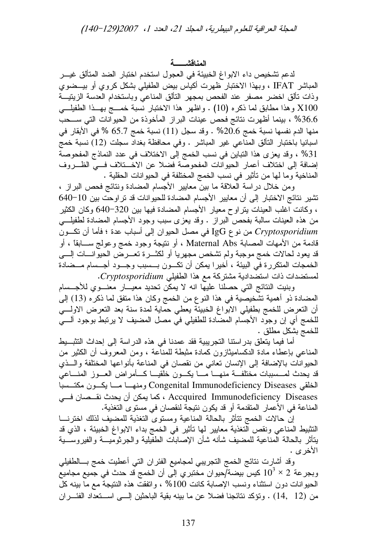لدعم تشخيص داء الابواغ الخبيئة في العجول استخدم اختبار الضد المتألق غيـــر المباشر IFAT ، وبهذا الاختبار ظهرت أكياس بيض الطفيلي بشكل كروي أو بيـــضوي وذات نألق اخضر مصفر عند الفحص بمجهر التألق المناعي وباستخدام العدسة الزيتيـــة X100 وهذا مطابق لما ذكره (10) . واظهر هذا الاختبار نسبة خمــج بهــذا الطفيلـــي 36.6% ، بينما أظهرت نتائج فحص عينات البراز المأخوذة من الحيوانات التي ســـحب منها الدم نفسها نسبة خمج 20.6% . وقد سجل (11) نسبة خمج 65.7 % في الأبقار في اسبانيا باختبار التألق المناعي غير المباشر . وفي محافظة بغداد سجلت (12) نسبة خمج 31% ، وقد يعزى هذا النباين في نسب الخمج إلى الاختلاف في عدد النماذج المفحوصة إضافة إلى اختلاف أعمار الحيوانات المفحوصة فضلا عن الاخـــتلاف فـــى الظـــروف المناخية وما لها من تأثير في نسب الخمج المختلفة في الحيوانات الحقلية .

ومن خلال دراسة العلاقة ما بين معايير الأجسام المضادة ونتائج فحص البراز ، نشير نتائج الاختبار إلى أن معايير الأجسام المضادة للحيوانات قد تراوحت بين 10−640 ، وكانت اغلب العينات بتراوح معيار الأجسام المضادة فيها بين 320–640 وكان الكثير من هذه العينات سالبة بفحص البراز . وقد يعزى سبب وجود الأجسام المضادة لطفيلهي Cryptosporidium من نوع IgG في مصل الحيوان إلى أسباب عدة ؛ فأما أن نكـــون قادمة من الأمهات المصابة Maternal Abs ، أو نتيجة وجود خمج و عولج ســـابقاً ، أو قد يعود لحالات خمج موجبة ولم تشخص مجهريا أو لكثـــرة تعـــرض الحيوانـــات الِــــى الخمجات المتكررة في البيئة ، أخيرا يمكن أن تكـــون بـــسبب وجـــود أجـــسام مـــضادة لمستضدات ذات استضدادية مشتركة مع هذا الطفيلي Cryptosporidium.

وبنيت النتائج التي حصلنا عليها انه لا يمكن تحديد معيـــار معنـــوي للأجـــسام المضادة ذو أهمية تشَّخيصية في هذا النوع من الخمج وكان هذا متفق لما ذكره (13) إلى أن النعرض للخمج بطفيلي الابواغ الخبيئة يعطي حماية لمدة سنة بعد النعرض الاولسي للخمج أي إن وجود الأجسام المضادة للطفيلي في مصل المضيف لا يرتبط بوجود ألسي للخمج بشكل مطلق .

أما فيما يتعلَّق بدر استنا التجريبية فقد عمدنا في هذه الدر اسة إلى إحداث التثبـــبط المناعي بإعطاء مادة الدكساميثازون كمادة مثبطة للمناعة ، ومن المعروف أن الكثير من الحيوانات بالإضافة إلى الإنسان تعاني من نقصان في المناعة بأنواعها المختلفة واللفي قد يحدث لمـــسببات مختلفـــة منهــــا مــــا يكــــون خلقيـــا كــــأمراض العـــوز المنــــاعي الخلقى Congenital Immunodeficiency Diseases ومنهـا مــا يكــون مكتــسبا Accquired Immunodeficiency Diseases ، كما يمكن أن يحدث نقــصان فـــي المناعة في الأعمار المتقدمة أو قد يكون نتيجة لنقصان في مستوى التغذية.

إن حالات الخمج نتأثر بالحالة المناعية ومستوى التغذية للمضيف لذلك اخترنسا التثبيط المناعي ونقص التغذية معايير لمها تأثير في الخمج بداء الابواغ الخبيئة ، الذي قد بنأثر بالحالة المناعية للمضبف شأنه شأن الإصابات الطفيلية والجرثوميـــة والفيروســـية الأخر ي .

وقد أشارت نتائج الخمج النجريبي لمجاميع الفئران التي أعطيت خمج بسالطفيلي وبجرعة 2 $2\times 10^3 \times 10^3$  كيس بيضة/حيوان مختبري إلى أن الخمج قد حدث في جميع مجاميع الحيوانات دون استثناء ونسب الإصابة كانت 100% ، واتفقت هذه النتيجة مع ما بينه كل من (12, 12) . ونؤكد نتائجنا فضلا عن ما بينه بقية الباحثين إلــي اســتعداد الفئـــران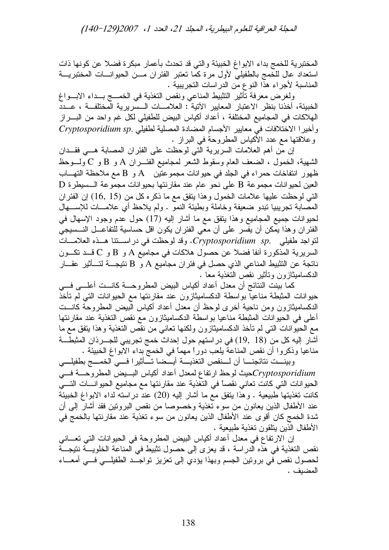المجلة العراقية للعلوم البيطرية، المجلد 21، العدد 1، 2007(129–140)

المختبرية للخمج بداء الابواغ الخبيئة والتي قد تحدث بأعمار مبكرة فضلا عن كونها ذات استعداد عال للخمج بالطفيلي لأول مرة كما تعتبر الفئران مـــن الحيوانــــات المختبريــــة المناسبة لأجراء هذا النوع من الدر اسات التجريبية .

ولغرض معرفة تأثير التثبيط المناعي ونقص التغذية في الخمسج بسداء الإبسواغ الخبيئة، أخذنا بنظر الاعتبار المعايير الأتية : العلامـــات الــسريرية المختلفــة ، عـــدد الهلاكات في المجاميع المختلفة ، أعداد أكياس البيض للطفيلي لكل غم واحد من البــــراز  $Cryptosporidium sp.$  وأخبرا الاختلافات في معابير الأجسام المضادة المصلية لطفيلي وعلاقتها مع عدد الأكباس المطروحة في البراز .

إن من أهم العلامات السريرية الَّتي لوحظت على الفئر ان المصـابـة هـــي فقـــدان الشهية، الخمول ، الضعف العام وسقوط الشعر لمجاميع الفئـــــران A و B و C ولــــوحظ ظهور انتفاخات حمراء في الجلد في حيوانات مجموعتين A و B مع ملاحظة التهـــاب  $\, {\rm D} \,$ العين لحيوانات مجموعة  $\, {\rm B} \,$  على نحو عام عند مقارنتها بحيوانات مجموعة الـــسيطرة التبي لوحظت عليها علامات الخمول وهذا يتفق مع ما ذكره كل من (15 ,16) إن الفئر ان المصـابـة تـجريبيـا نندو ضـعيفة وخاملـة وبطيئـة النمو . ولم يـلاحظ أي علامــــات للإســــهال لحيوانات جميع المجاميع وهذا ينفق مع ما أشار إليه (17) حول عدم وجود الإسهال في الفئر ان و هذا يمكن أن يفسر على أن معي الفئر ان يكون اقل حساسية للنفاعـــل النــــسيجي لتواجد طفيلي .Cryptosporidium sp. وقد لوحظت في دراستنا هـذه العلامــات السريرية المذكورة أنفا فضلا عن حصول هلاكات في مجاميع A و B و C قـــد تكـــون ناتجة عن التثبيط المناعي الذي حصل في فئر ان مجاميع A و B نتيجـــة لتـــأثير عقـــار الدكساميثاز و ن و تأثير نقص التغذية معا .

كما بينت النتائج أن معدل أعداد أكياس البيض المطروحـــة كانـــت أعلـــي فـــي حيوانات المثبطة مناعيا بواسطة الدكساميثازون عند مقارنتها مع الحيوانات التبي لم تأخذ الدكساميثازون ومن ناحية أخرى لوحظ أن معدل أعداد أكياس البيض المطروحة كانـــت أعلى في الحيوانات المثبطة مناعيا بواسطة الدكساميثازون مع نقص التغذية عند مقارنتها مع الحيوانات التبي لم تأخذ الدكساميثازون ولكنها تعانـي من نقص التغذية وهذا يتفق مـع مـا أشار إليه كل من (18 ,19) في دراستهم حول إحداث خمج تجريبي للجـــرذان المثبطـــة مناعيا وذكروا أن نقص المناعة يلعب دوراً مهماً في الخمج بداء الابواغ الخبيئة .

وبينـــت نتائجنــــا أن لــــنقص التغذيــــة أيـــضـا تــــأثير ا فــــى الـخمــــج بطفيلــــى Cryptosporidiumكميث لوحظ ارتفاع لمعدل أعداد أكياس البسيض المطروحـــة فسي الحيوانات التي كانت تعاني نقصاً في التغذية عند مقارنتها مع مجاميع الحيوانسات التسي كانت نغذيتها طبيعية . وهذا يتفق مع ما أشار إليه (20) عند دراسته لداء الابواغ الخبيئة عند الأطفال الذين يعانون من سوء تغذية وخصوصا من نقص البرونين فقد أشار إلىي أن شدة الخمج كان أقوى عند الأطفال الذين يعانون من سوء تغذية عند مقارنتها بالخمج في الأطفال الذين يتلقون تغذية طبيعية .

إن الارتفاع في معدل أعداد أكياس البيض المطروحة في الحيوانات التي تعـــاني نقص التغذية في هذه الدراسة ، قد يعزى إلى حصول تثبيط في المناعة الخلويـــة نتيجـــة لحصول نقص في بروتين الجسم وبهذا يؤدي إلىي تعزيز تواجــد الطفيلـــي فـــي أمعـــاء المضبف .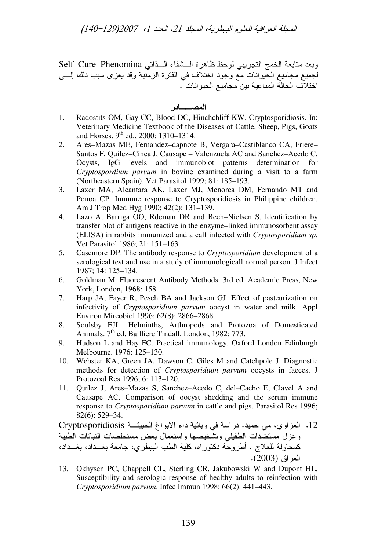المجلة العراقية للعلوم البيطرية، المجلد 21، العدد 1، 2007(129–140)

وبعد متابعة الخمج التجريبي لوحظ ظاهرة الـــشفاء الـــذاتي Self Cure Phenomina لجميع مجاميع الحيوانات مع وجود اختلاف في الفترة الزمنية وقد يعزى سبب ذلك إلــــى اختلاف الحالة المناعية بين مجاميع الحيو انات .

المصــــــادر

- 1. Radostits OM, Gay CC, Blood DC, Hinchchliff KW. Cryptosporidiosis. In: Veterinary Medicine Textbook of the Diseases of Cattle, Sheep, Pigs, Goats and Horses. 9<sup>th</sup> ed., 2000: 1310–1314.
- 2. Ares–Mazas ME, Fernandez–dapnote B, Vergara–Castiblanco CA, Friere– Santos F, Quilez–Cinca J, Causape – Valenzuela AC and Sanchez–Acedo C. Ocysts, IgG levels and immunoblot patterns determination for *Cryptospordium parvum* in bovine examined during a visit to a farm (Northeastern Spain). Vet Parasitol 1999; 81: 185–193.
- 3. Laxer MA, Alcantara AK, Laxer MJ, Menorca DM, Fernando MT and Ponoa CP. Immune response to Cryptosporidiosis in Philippine children. Am J Trop Med Hyg 1990; 42(2): 131–139.
- 4. Lazo A, Barriga OO, Rdeman DR and Bech–Nielsen S. Identification by transfer blot of antigens reactive in the enzyme–linked immunosorbent assay (ELISA) in rabbits immunized and a calf infected with *Cryptosporidium sp*. Vet Parasitol 1986; 21: 151–163.
- 5. Casemore DP. The antibody response to *Cryptosporidium* development of a serological test and use in a study of immunologicall normal person. J Infect 1987; 14: 125–134.
- 6. Goldman M. Fluorescent Antibody Methods. 3rd ed. Academic Press, New York, London, 1968: 158.
- 7. Harp JA, Fayer R, Pesch BA and Jackson GJ. Effect of pasteurization on infectivity of *Cryptosporidium parvum* oocyst in water and milk. Appl Environ Mircobiol 1996; 62(8): 2866–2868.
- 8. Soulsby EJL. Helminths, Arthropods and Protozoa of Domesticated Animals. 7<sup>th</sup> ed, Bailliere Tindall, London, 1982: 773.
- 9. Hudson L and Hay FC. Practical immunology. Oxford London Edinburgh Melbourne. 1976: 125–130.
- 10. Webster KA, Green JA, Dawson C, Giles M and Catchpole J. Diagnostic methods for detection of *Cryptosporidium parvum* oocysts in faeces. J Protozoal Res 1996; 6: 113–120.
- 11. Quilez J, Ares–Mazas S, Sanchez–Acedo C, del–Cacho E, Clavel A and Causape AC. Comparison of oocyst shedding and the serum immune response to *Cryptosporidium parvum* in cattle and pigs. Parasitol Res 1996; 82(6): 529–34.

12. العزاوي، مي حميد. دراسة في وبائية داء الابواغ الخبيئــة Cryptosporidiosis وعزل مستضدات الطفيلي وتشخيصها واستعمال بعض مستخلصات النباتات الطبية كمحاولة للعلاج . أطروحة دكتوراه، كلية الطب البيطري، جامعة بغـــداد، بغـــداد، العر اق (2003).

13. Okhysen PC, Chappell CL, Sterling CR, Jakubowski W and Dupont HL. Susceptibility and serologic response of healthy adults to reinfection with *Cryptosporidium parvum*. Infec Immun 1998; 66(2): 441–443.